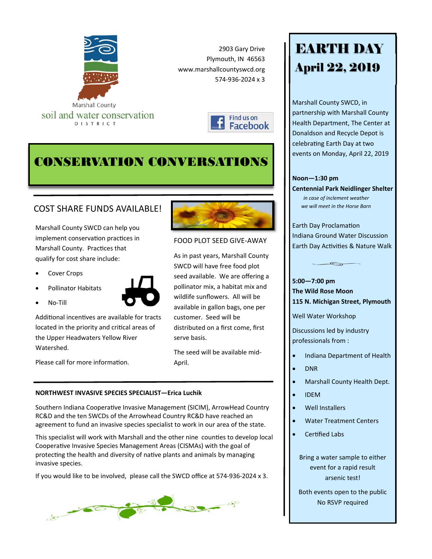

2903 Gary Drive Plymouth, IN 46563 www.marshallcountyswcd.org 574‐936‐2024 x 3

FOOD PLOT SEED GIVE‐AWAY

As in past years, Marshall County SWCD will have free food plot seed available. We are offering a pollinator mix, a habitat mix and wildlife sunflowers. All will be available in gallon bags, one per

customer. Seed will be

serve basis.

April.

distributed on a first come, first

The seed will be available mid‐



# CONSERVATION CONVERSATIONS

### COST SHARE FUNDS AVAILABLE!

Marshall County SWCD can help you implement conservation practices in Marshall County. Practices that qualify for cost share include:

Cover Crops

No‐Till

Pollinator Habitats



Additional incentives are available for tracts located in the priority and critical areas of the Upper Headwaters Yellow River Watershed.

Please call for more information.

#### **NORTHWEST INVASIVE SPECIES SPECIALIST—Erica Luchik**

Southern Indiana Cooperative Invasive Management (SICIM), ArrowHead Country RC&D and the ten SWCDs of the Arrowhead Country RC&D have reached an agreement to fund an invasive species specialist to work in our area of the state.

This specialist will work with Marshall and the other nine counties to develop local Cooperative Invasive Species Management Areas (CISMAs) with the goal of protecting the health and diversity of native plants and animals by managing invasive species.

If you would like to be involved, please call the SWCD office at 574‐936‐2024 x 3.



# EARTH DAY April 22, 2019

Marshall County SWCD, in partnership with Marshall County Health Department, The Center at Donaldson and Recycle Depot is celebrating Earth Day at two events on Monday, April 22, 2019

#### **Noon—1:30 pm**

**Centennial Park Neidlinger Shelter** *in case of inclement weather we will meet in the Horse Barn*

Earth Day ProclamaƟon Indiana Ground Water Discussion Earth Day Activities & Nature Walk

 $\sqrt{2}$ 

**5:00—7:00 pm The Wild Rose Moon 115 N. Michigan Street, Plymouth** 

Well Water Workshop

Discussions led by industry professionals from :

- Indiana Department of Health
- DNR
- Marshall County Health Dept.
- IDEM
- Well Installers
- Water Treatment Centers
- Certified Labs

Bring a water sample to either event for a rapid result arsenic test!

Both events open to the public No RSVP required